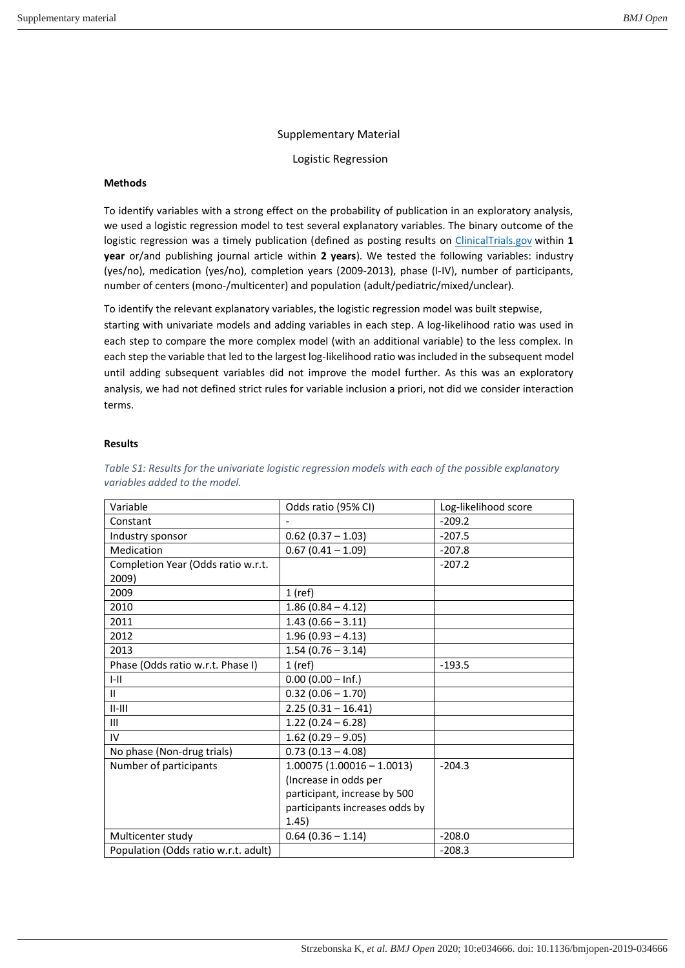## Supplementary Material

Logistic Regression

## **Methods**

To identify variables with a strong effect on the probability of publication in an exploratory analysis, we used a logistic regression model to test several explanatory variables. The binary outcome of the logistic regression was a timely publication (defined as posting results on *ClinicalTrials.gov* within 1 **year** or/and publishing journal article within **2 years**). We tested the following variables: industry (yes/no), medication (yes/no), completion years (2009-2013), phase (I-IV), number of participants, number of centers (mono-/multicenter) and population (adult/pediatric/mixed/unclear).

To identify the relevant explanatory variables, the logistic regression model was built stepwise, starting with univariate models and adding variables in each step. A log-likelihood ratio was used in each step to compare the more complex model (with an additional variable) to the less complex. In each step the variable that led to the largest log-likelihood ratio was included in the subsequent model until adding subsequent variables did not improve the model further. As this was an exploratory analysis, we had not defined strict rules for variable inclusion a priori, not did we consider interaction terms.

## **Results**

| Variable                             | Odds ratio (95% CI)            | Log-likelihood score |
|--------------------------------------|--------------------------------|----------------------|
| Constant                             |                                | $-209.2$             |
| Industry sponsor                     | $0.62$ (0.37 - 1.03)           | $-207.5$             |
| Medication                           | $0.67(0.41 - 1.09)$            | $-207.8$             |
| Completion Year (Odds ratio w.r.t.   |                                | $-207.2$             |
| 2009)                                |                                |                      |
| 2009                                 | $1$ (ref)                      |                      |
| 2010                                 | $1.86(0.84 - 4.12)$            |                      |
| 2011                                 | $1.43(0.66 - 3.11)$            |                      |
| 2012                                 | $1.96(0.93 - 4.13)$            |                      |
| 2013                                 | $1.54(0.76 - 3.14)$            |                      |
| Phase (Odds ratio w.r.t. Phase I)    | $1$ (ref)                      | $-193.5$             |
| $I - II$                             | $0.00(0.00 - lnf.)$            |                      |
| $\mathbf{H}$                         | $0.32(0.06 - 1.70)$            |                      |
| $II-III$                             | $2.25(0.31 - 16.41)$           |                      |
| Ш                                    | $1.22(0.24 - 6.28)$            |                      |
| IV                                   | $1.62(0.29 - 9.05)$            |                      |
| No phase (Non-drug trials)           | $0.73(0.13 - 4.08)$            |                      |
| Number of participants               | $1.00075(1.00016 - 1.0013)$    | $-204.3$             |
|                                      | (Increase in odds per          |                      |
|                                      | participant, increase by 500   |                      |
|                                      | participants increases odds by |                      |
|                                      | 1.45)                          |                      |
| Multicenter study                    | $0.64(0.36 - 1.14)$            | $-208.0$             |
| Population (Odds ratio w.r.t. adult) |                                | $-208.3$             |

## *Table S1: Results for the univariate logistic regression models with each of the possible explanatory variables added to the model.*